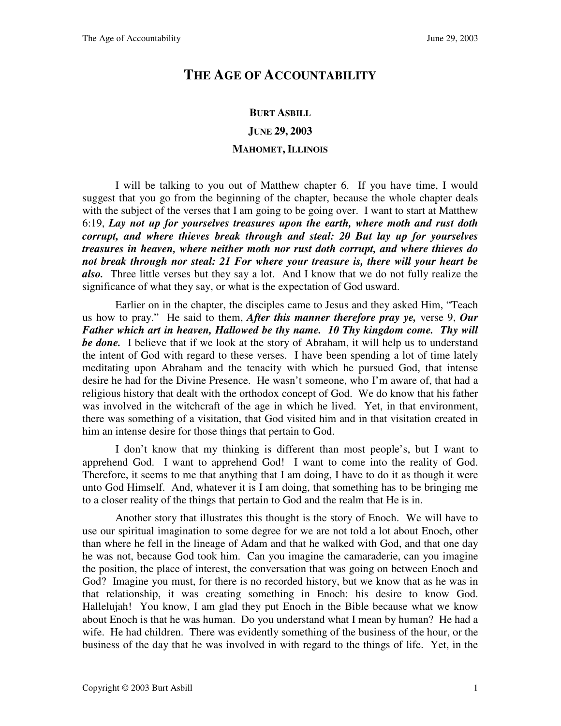## **THE AGE OF ACCOUNTABILITY**

## **BURT ASBILL JUNE 29, 2003 MAHOMET, ILLINOIS**

I will be talking to you out of Matthew chapter 6. If you have time, I would suggest that you go from the beginning of the chapter, because the whole chapter deals with the subject of the verses that I am going to be going over. I want to start at Matthew 6:19, *Lay not up for yourselves treasures upon the earth, where moth and rust doth corrupt, and where thieves break through and steal: 20 But lay up for yourselves treasures in heaven, where neither moth nor rust doth corrupt, and where thieves do not break through nor steal: 21 For where your treasure is, there will your heart be also.* Three little verses but they say a lot. And I know that we do not fully realize the significance of what they say, or what is the expectation of God usward.

Earlier on in the chapter, the disciples came to Jesus and they asked Him, "Teach us how to pray." He said to them, *After this manner therefore pray ye,* verse 9, *Our Father which art in heaven, Hallowed be thy name. 10 Thy kingdom come. Thy will be done.*I believe that if we look at the story of Abraham, it will help us to understand the intent of God with regard to these verses. I have been spending a lot of time lately meditating upon Abraham and the tenacity with which he pursued God, that intense desire he had for the Divine Presence. He wasn't someone, who I'm aware of, that had a religious history that dealt with the orthodox concept of God. We do know that his father was involved in the witchcraft of the age in which he lived. Yet, in that environment, there was something of a visitation, that God visited him and in that visitation created in him an intense desire for those things that pertain to God.

I don't know that my thinking is different than most people's, but I want to apprehend God. I want to apprehend God! I want to come into the reality of God. Therefore, it seems to me that anything that I am doing, I have to do it as though it were unto God Himself. And, whatever it is I am doing, that something has to be bringing me to a closer reality of the things that pertain to God and the realm that He is in.

Another story that illustrates this thought is the story of Enoch. We will have to use our spiritual imagination to some degree for we are not told a lot about Enoch, other than where he fell in the lineage of Adam and that he walked with God, and that one day he was not, because God took him. Can you imagine the camaraderie, can you imagine the position, the place of interest, the conversation that was going on between Enoch and God? Imagine you must, for there is no recorded history, but we know that as he was in that relationship, it was creating something in Enoch: his desire to know God. Hallelujah! You know, I am glad they put Enoch in the Bible because what we know about Enoch is that he was human. Do you understand what I mean by human? He had a wife. He had children. There was evidently something of the business of the hour, or the business of the day that he was involved in with regard to the things of life. Yet, in the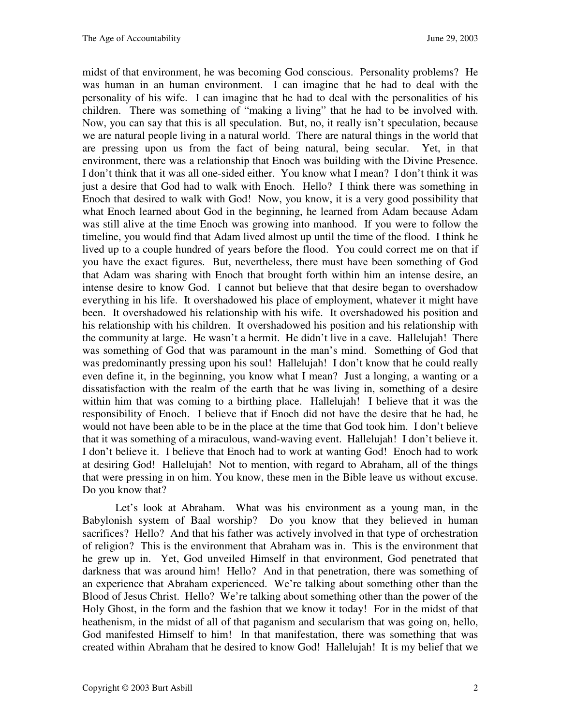midst of that environment, he was becoming God conscious. Personality problems? He was human in an human environment. I can imagine that he had to deal with the personality of his wife. I can imagine that he had to deal with the personalities of his children. There was something of "making a living" that he had to be involved with. Now, you can say that this is all speculation. But, no, it really isn't speculation, because we are natural people living in a natural world. There are natural things in the world that are pressing upon us from the fact of being natural, being secular. Yet, in that environment, there was a relationship that Enoch was building with the Divine Presence. I don't think that it was all one-sided either. You know what I mean? I don't think it was just a desire that God had to walk with Enoch. Hello? I think there was something in Enoch that desired to walk with God! Now, you know, it is a very good possibility that what Enoch learned about God in the beginning, he learned from Adam because Adam was still alive at the time Enoch was growing into manhood. If you were to follow the timeline, you would find that Adam lived almost up until the time of the flood. I think he lived up to a couple hundred of years before the flood. You could correct me on that if you have the exact figures. But, nevertheless, there must have been something of God that Adam was sharing with Enoch that brought forth within him an intense desire, an intense desire to know God. I cannot but believe that that desire began to overshadow everything in his life. It overshadowed his place of employment, whatever it might have been. It overshadowed his relationship with his wife. It overshadowed his position and his relationship with his children. It overshadowed his position and his relationship with the community at large. He wasn't a hermit. He didn't live in a cave. Hallelujah! There was something of God that was paramount in the man's mind. Something of God that was predominantly pressing upon his soul! Hallelujah! I don't know that he could really even define it, in the beginning, you know what I mean? Just a longing, a wanting or a dissatisfaction with the realm of the earth that he was living in, something of a desire within him that was coming to a birthing place. Hallelujah! I believe that it was the responsibility of Enoch. I believe that if Enoch did not have the desire that he had, he would not have been able to be in the place at the time that God took him. I don't believe that it was something of a miraculous, wand-waving event. Hallelujah! I don't believe it. I don't believe it. I believe that Enoch had to work at wanting God! Enoch had to work at desiring God! Hallelujah! Not to mention, with regard to Abraham, all of the things that were pressing in on him. You know, these men in the Bible leave us without excuse. Do you know that?

Let's look at Abraham. What was his environment as a young man, in the Babylonish system of Baal worship? Do you know that they believed in human sacrifices? Hello? And that his father was actively involved in that type of orchestration of religion? This is the environment that Abraham was in. This is the environment that he grew up in. Yet, God unveiled Himself in that environment, God penetrated that darkness that was around him! Hello? And in that penetration, there was something of an experience that Abraham experienced. We're talking about something other than the Blood of Jesus Christ. Hello? We're talking about something other than the power of the Holy Ghost, in the form and the fashion that we know it today! For in the midst of that heathenism, in the midst of all of that paganism and secularism that was going on, hello, God manifested Himself to him! In that manifestation, there was something that was created within Abraham that he desired to know God! Hallelujah! It is my belief that we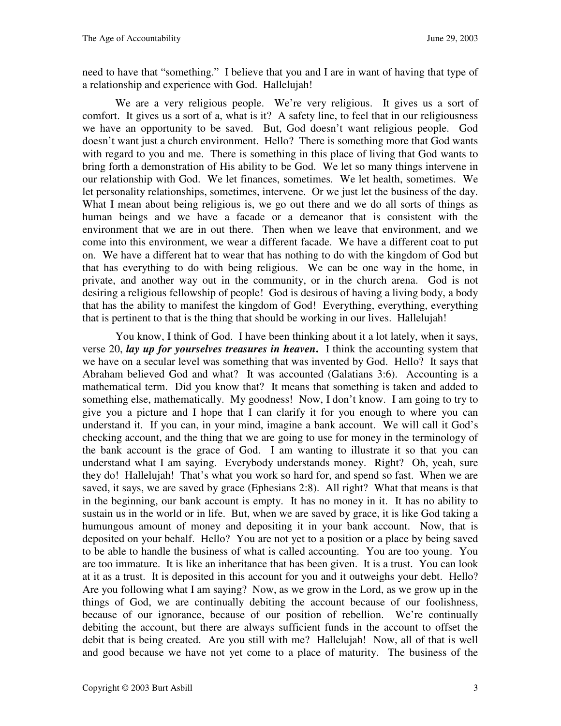need to have that "something." I believe that you and I are in want of having that type of a relationship and experience with God. Hallelujah!

We are a very religious people. We're very religious. It gives us a sort of comfort. It gives us a sort of a, what is it? A safety line, to feel that in our religiousness we have an opportunity to be saved. But, God doesn't want religious people. God doesn't want just a church environment. Hello? There is something more that God wants with regard to you and me. There is something in this place of living that God wants to bring forth a demonstration of His ability to be God. We let so many things intervene in our relationship with God. We let finances, sometimes. We let health, sometimes. We let personality relationships, sometimes, intervene. Or we just let the business of the day. What I mean about being religious is, we go out there and we do all sorts of things as human beings and we have a facade or a demeanor that is consistent with the environment that we are in out there. Then when we leave that environment, and we come into this environment, we wear a different facade. We have a different coat to put on. We have a different hat to wear that has nothing to do with the kingdom of God but that has everything to do with being religious. We can be one way in the home, in private, and another way out in the community, or in the church arena. God is not desiring a religious fellowship of people! God is desirous of having a living body, a body that has the ability to manifest the kingdom of God! Everything, everything, everything that is pertinent to that is the thing that should be working in our lives. Hallelujah!

You know, I think of God. I have been thinking about it a lot lately, when it says, verse 20, *lay up for yourselves treasures in heaven***.** I think the accounting system that we have on a secular level was something that was invented by God. Hello? It says that Abraham believed God and what? It was accounted (Galatians 3:6). Accounting is a mathematical term. Did you know that? It means that something is taken and added to something else, mathematically. My goodness! Now, I don't know. I am going to try to give you a picture and I hope that I can clarify it for you enough to where you can understand it. If you can, in your mind, imagine a bank account. We will call it God's checking account, and the thing that we are going to use for money in the terminology of the bank account is the grace of God. I am wanting to illustrate it so that you can understand what I am saying. Everybody understands money. Right? Oh, yeah, sure they do! Hallelujah! That's what you work so hard for, and spend so fast. When we are saved, it says, we are saved by grace (Ephesians 2:8). All right? What that means is that in the beginning, our bank account is empty. It has no money in it. It has no ability to sustain us in the world or in life. But, when we are saved by grace, it is like God taking a humungous amount of money and depositing it in your bank account. Now, that is deposited on your behalf. Hello? You are not yet to a position or a place by being saved to be able to handle the business of what is called accounting. You are too young. You are too immature. It is like an inheritance that has been given. It is a trust. You can look at it as a trust. It is deposited in this account for you and it outweighs your debt. Hello? Are you following what I am saying? Now, as we grow in the Lord, as we grow up in the things of God, we are continually debiting the account because of our foolishness, because of our ignorance, because of our position of rebellion. We're continually debiting the account, but there are always sufficient funds in the account to offset the debit that is being created. Are you still with me? Hallelujah! Now, all of that is well and good because we have not yet come to a place of maturity. The business of the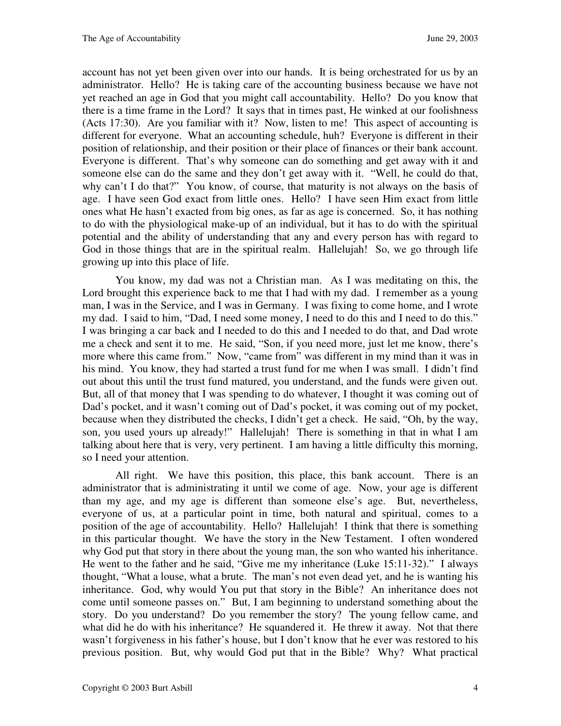account has not yet been given over into our hands. It is being orchestrated for us by an administrator. Hello? He is taking care of the accounting business because we have not yet reached an age in God that you might call accountability. Hello? Do you know that there is a time frame in the Lord? It says that in times past, He winked at our foolishness (Acts 17:30). Are you familiar with it? Now, listen to me! This aspect of accounting is different for everyone. What an accounting schedule, huh? Everyone is different in their position of relationship, and their position or their place of finances or their bank account. Everyone is different. That's why someone can do something and get away with it and someone else can do the same and they don't get away with it. "Well, he could do that, why can't I do that?" You know, of course, that maturity is not always on the basis of age. I have seen God exact from little ones. Hello? I have seen Him exact from little ones what He hasn't exacted from big ones, as far as age is concerned. So, it has nothing to do with the physiological make-up of an individual, but it has to do with the spiritual potential and the ability of understanding that any and every person has with regard to God in those things that are in the spiritual realm. Hallelujah! So, we go through life growing up into this place of life.

You know, my dad was not a Christian man. As I was meditating on this, the Lord brought this experience back to me that I had with my dad. I remember as a young man, I was in the Service, and I was in Germany. I was fixing to come home, and I wrote my dad. I said to him, "Dad, I need some money, I need to do this and I need to do this." I was bringing a car back and I needed to do this and I needed to do that, and Dad wrote me a check and sent it to me. He said, "Son, if you need more, just let me know, there's more where this came from." Now, "came from" was different in my mind than it was in his mind. You know, they had started a trust fund for me when I was small. I didn't find out about this until the trust fund matured, you understand, and the funds were given out. But, all of that money that I was spending to do whatever, I thought it was coming out of Dad's pocket, and it wasn't coming out of Dad's pocket, it was coming out of my pocket, because when they distributed the checks, I didn't get a check. He said, "Oh, by the way, son, you used yours up already!" Hallelujah! There is something in that in what I am talking about here that is very, very pertinent. I am having a little difficulty this morning, so I need your attention.

All right. We have this position, this place, this bank account. There is an administrator that is administrating it until we come of age. Now, your age is different than my age, and my age is different than someone else's age. But, nevertheless, everyone of us, at a particular point in time, both natural and spiritual, comes to a position of the age of accountability. Hello? Hallelujah! I think that there is something in this particular thought. We have the story in the New Testament. I often wondered why God put that story in there about the young man, the son who wanted his inheritance. He went to the father and he said, "Give me my inheritance (Luke 15:11-32)." I always thought, "What a louse, what a brute. The man's not even dead yet, and he is wanting his inheritance. God, why would You put that story in the Bible? An inheritance does not come until someone passes on." But, I am beginning to understand something about the story. Do you understand? Do you remember the story? The young fellow came, and what did he do with his inheritance? He squandered it. He threw it away. Not that there wasn't forgiveness in his father's house, but I don't know that he ever was restored to his previous position. But, why would God put that in the Bible? Why? What practical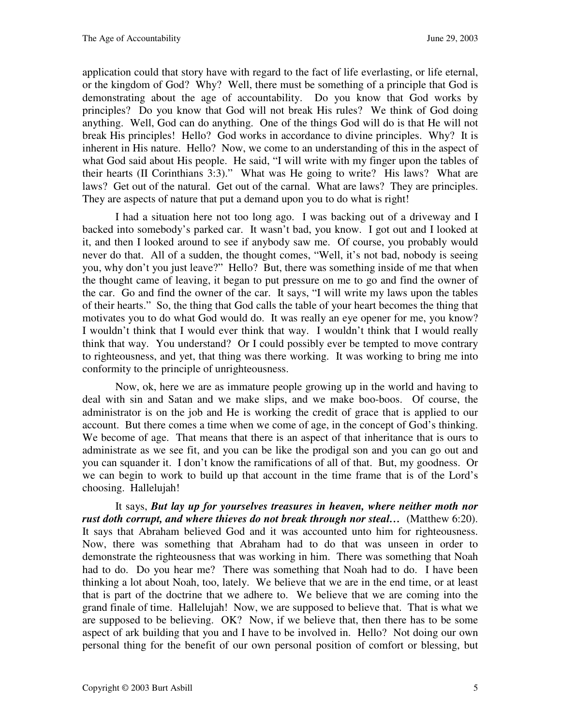application could that story have with regard to the fact of life everlasting, or life eternal, or the kingdom of God? Why? Well, there must be something of a principle that God is demonstrating about the age of accountability. Do you know that God works by principles? Do you know that God will not break His rules? We think of God doing anything. Well, God can do anything. One of the things God will do is that He will not break His principles! Hello? God works in accordance to divine principles. Why? It is inherent in His nature. Hello? Now, we come to an understanding of this in the aspect of what God said about His people. He said, "I will write with my finger upon the tables of their hearts (II Corinthians 3:3)." What was He going to write? His laws? What are laws? Get out of the natural. Get out of the carnal. What are laws? They are principles. They are aspects of nature that put a demand upon you to do what is right!

I had a situation here not too long ago. I was backing out of a driveway and I backed into somebody's parked car. It wasn't bad, you know. I got out and I looked at it, and then I looked around to see if anybody saw me. Of course, you probably would never do that. All of a sudden, the thought comes, "Well, it's not bad, nobody is seeing you, why don't you just leave?" Hello? But, there was something inside of me that when the thought came of leaving, it began to put pressure on me to go and find the owner of the car. Go and find the owner of the car. It says, "I will write my laws upon the tables of their hearts." So, the thing that God calls the table of your heart becomes the thing that motivates you to do what God would do. It was really an eye opener for me, you know? I wouldn't think that I would ever think that way. I wouldn't think that I would really think that way. You understand? Or I could possibly ever be tempted to move contrary to righteousness, and yet, that thing was there working. It was working to bring me into conformity to the principle of unrighteousness.

Now, ok, here we are as immature people growing up in the world and having to deal with sin and Satan and we make slips, and we make boo-boos. Of course, the administrator is on the job and He is working the credit of grace that is applied to our account. But there comes a time when we come of age, in the concept of God's thinking. We become of age. That means that there is an aspect of that inheritance that is ours to administrate as we see fit, and you can be like the prodigal son and you can go out and you can squander it. I don't know the ramifications of all of that. But, my goodness. Or we can begin to work to build up that account in the time frame that is of the Lord's choosing. Hallelujah!

It says, *But lay up for yourselves treasures in heaven, where neither moth nor*  rust doth corrupt, and where thieves do not break through nor steal... (Matthew 6:20). It says that Abraham believed God and it was accounted unto him for righteousness. Now, there was something that Abraham had to do that was unseen in order to demonstrate the righteousness that was working in him. There was something that Noah had to do. Do you hear me? There was something that Noah had to do. I have been thinking a lot about Noah, too, lately. We believe that we are in the end time, or at least that is part of the doctrine that we adhere to. We believe that we are coming into the grand finale of time. Hallelujah! Now, we are supposed to believe that. That is what we are supposed to be believing. OK? Now, if we believe that, then there has to be some aspect of ark building that you and I have to be involved in. Hello? Not doing our own personal thing for the benefit of our own personal position of comfort or blessing, but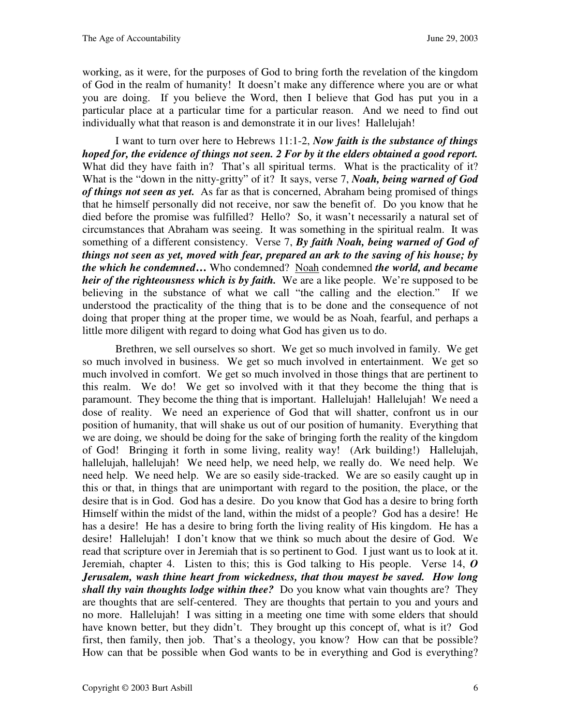working, as it were, for the purposes of God to bring forth the revelation of the kingdom of God in the realm of humanity! It doesn't make any difference where you are or what you are doing. If you believe the Word, then I believe that God has put you in a particular place at a particular time for a particular reason. And we need to find out individually what that reason is and demonstrate it in our lives! Hallelujah!

I want to turn over here to Hebrews 11:1-2, *Now faith is the substance of things hoped for, the evidence of things not seen. 2 For by it the elders obtained a good report.* What did they have faith in? That's all spiritual terms. What is the practicality of it? What is the "down in the nitty-gritty" of it? It says, verse 7, *Noah, being warned of God of things not seen as yet.* As far as that is concerned, Abraham being promised of things that he himself personally did not receive, nor saw the benefit of. Do you know that he died before the promise was fulfilled? Hello? So, it wasn't necessarily a natural set of circumstances that Abraham was seeing. It was something in the spiritual realm. It was something of a different consistency. Verse 7, *By faith Noah, being warned of God of things not seen as yet, moved with fear, prepared an ark to the saving of his house; by the which he condemned***…** Who condemned? Noah condemned *the world, and became heir of the righteousness which is by faith.* We are a like people. We're supposed to be believing in the substance of what we call "the calling and the election." If we understood the practicality of the thing that is to be done and the consequence of not doing that proper thing at the proper time, we would be as Noah, fearful, and perhaps a little more diligent with regard to doing what God has given us to do.

Brethren, we sell ourselves so short. We get so much involved in family. We get so much involved in business. We get so much involved in entertainment. We get so much involved in comfort. We get so much involved in those things that are pertinent to this realm. We do! We get so involved with it that they become the thing that is paramount. They become the thing that is important. Hallelujah! Hallelujah! We need a dose of reality. We need an experience of God that will shatter, confront us in our position of humanity, that will shake us out of our position of humanity. Everything that we are doing, we should be doing for the sake of bringing forth the reality of the kingdom of God! Bringing it forth in some living, reality way! (Ark building!) Hallelujah, hallelujah, hallelujah! We need help, we need help, we really do. We need help. We need help. We need help. We are so easily side-tracked. We are so easily caught up in this or that, in things that are unimportant with regard to the position, the place, or the desire that is in God. God has a desire. Do you know that God has a desire to bring forth Himself within the midst of the land, within the midst of a people? God has a desire! He has a desire! He has a desire to bring forth the living reality of His kingdom. He has a desire! Hallelujah! I don't know that we think so much about the desire of God. We read that scripture over in Jeremiah that is so pertinent to God. I just want us to look at it. Jeremiah, chapter 4.Listen to this; this is God talking to His people. Verse 14, *O Jerusalem, wash thine heart from wickedness, that thou mayest be saved. How long shall thy vain thoughts lodge within thee?* Do you know what vain thoughts are? They are thoughts that are self-centered. They are thoughts that pertain to you and yours and no more. Hallelujah! I was sitting in a meeting one time with some elders that should have known better, but they didn't. They brought up this concept of, what is it? God first, then family, then job. That's a theology, you know? How can that be possible? How can that be possible when God wants to be in everything and God is everything?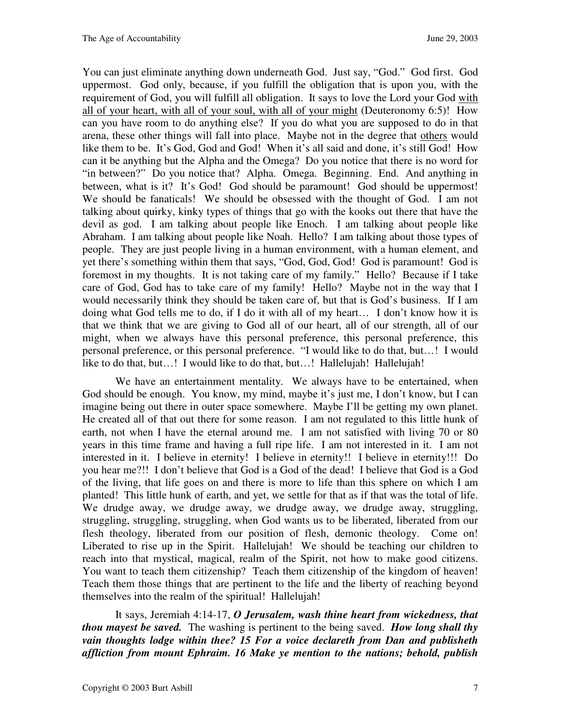You can just eliminate anything down underneath God. Just say, "God." God first. God uppermost. God only, because, if you fulfill the obligation that is upon you, with the requirement of God, you will fulfill all obligation. It says to love the Lord your God with all of your heart, with all of your soul, with all of your might (Deuteronomy 6:5)! How can you have room to do anything else? If you do what you are supposed to do in that arena, these other things will fall into place. Maybe not in the degree that others would like them to be. It's God, God and God! When it's all said and done, it's still God! How can it be anything but the Alpha and the Omega? Do you notice that there is no word for "in between?" Do you notice that? Alpha. Omega. Beginning. End. And anything in between, what is it? It's God! God should be paramount! God should be uppermost! We should be fanaticals! We should be obsessed with the thought of God. I am not talking about quirky, kinky types of things that go with the kooks out there that have the devil as god. I am talking about people like Enoch. I am talking about people like Abraham. I am talking about people like Noah. Hello? I am talking about those types of people. They are just people living in a human environment, with a human element, and yet there's something within them that says, "God, God, God! God is paramount! God is foremost in my thoughts. It is not taking care of my family." Hello? Because if I take care of God, God has to take care of my family! Hello? Maybe not in the way that I would necessarily think they should be taken care of, but that is God's business. If I am doing what God tells me to do, if I do it with all of my heart… I don't know how it is that we think that we are giving to God all of our heart, all of our strength, all of our might, when we always have this personal preference, this personal preference, this personal preference, or this personal preference. "I would like to do that, but…! I would like to do that, but...! I would like to do that, but...! Hallelujah! Hallelujah!

We have an entertainment mentality. We always have to be entertained, when God should be enough. You know, my mind, maybe it's just me, I don't know, but I can imagine being out there in outer space somewhere. Maybe I'll be getting my own planet. He created all of that out there for some reason. I am not regulated to this little hunk of earth, not when I have the eternal around me. I am not satisfied with living 70 or 80 years in this time frame and having a full ripe life. I am not interested in it. I am not interested in it. I believe in eternity! I believe in eternity!! I believe in eternity!!! Do you hear me?!! I don't believe that God is a God of the dead! I believe that God is a God of the living, that life goes on and there is more to life than this sphere on which I am planted! This little hunk of earth, and yet, we settle for that as if that was the total of life. We drudge away, we drudge away, we drudge away, we drudge away, struggling, struggling, struggling, struggling, when God wants us to be liberated, liberated from our flesh theology, liberated from our position of flesh, demonic theology. Come on! Liberated to rise up in the Spirit. Hallelujah! We should be teaching our children to reach into that mystical, magical, realm of the Spirit, not how to make good citizens. You want to teach them citizenship? Teach them citizenship of the kingdom of heaven! Teach them those things that are pertinent to the life and the liberty of reaching beyond themselves into the realm of the spiritual! Hallelujah!

It says, Jeremiah 4:14-17, *O Jerusalem, wash thine heart from wickedness, that thou mayest be saved.* The washing is pertinent to the being saved. *How long shall thy vain thoughts lodge within thee? 15 For a voice declareth from Dan and publisheth affliction from mount Ephraim. 16 Make ye mention to the nations; behold, publish*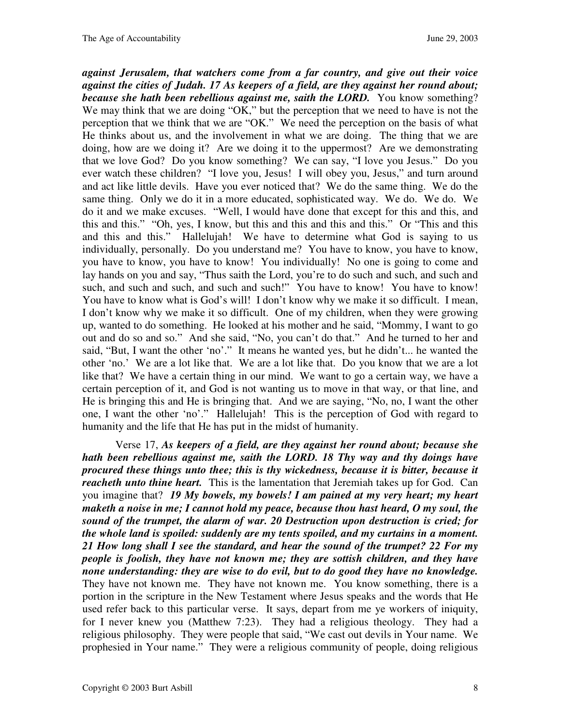*against Jerusalem, that watchers come from a far country, and give out their voice against the cities of Judah. 17 As keepers of a field, are they against her round about; because she hath been rebellious against me, saith the LORD.* You know something? We may think that we are doing "OK," but the perception that we need to have is not the perception that we think that we are "OK." We need the perception on the basis of what He thinks about us, and the involvement in what we are doing. The thing that we are doing, how are we doing it? Are we doing it to the uppermost? Are we demonstrating that we love God? Do you know something? We can say, "I love you Jesus." Do you ever watch these children? "I love you, Jesus! I will obey you, Jesus," and turn around and act like little devils. Have you ever noticed that? We do the same thing. We do the same thing. Only we do it in a more educated, sophisticated way. We do. We do. We do it and we make excuses. "Well, I would have done that except for this and this, and this and this." "Oh, yes, I know, but this and this and this and this." Or "This and this and this and this." Hallelujah! We have to determine what God is saying to us individually, personally. Do you understand me? You have to know, you have to know, you have to know, you have to know! You individually! No one is going to come and lay hands on you and say, "Thus saith the Lord, you're to do such and such, and such and such, and such and such, and such and such!" You have to know! You have to know! You have to know what is God's will! I don't know why we make it so difficult. I mean, I don't know why we make it so difficult. One of my children, when they were growing up, wanted to do something. He looked at his mother and he said, "Mommy, I want to go out and do so and so." And she said, "No, you can't do that." And he turned to her and said, "But, I want the other 'no'." It means he wanted yes, but he didn't... he wanted the other 'no.' We are a lot like that. We are a lot like that. Do you know that we are a lot like that? We have a certain thing in our mind. We want to go a certain way, we have a certain perception of it, and God is not wanting us to move in that way, or that line, and He is bringing this and He is bringing that. And we are saying, "No, no, I want the other one, I want the other 'no'." Hallelujah! This is the perception of God with regard to humanity and the life that He has put in the midst of humanity.

Verse 17, *As keepers of a field, are they against her round about; because she hath been rebellious against me, saith the LORD. 18 Thy way and thy doings have procured these things unto thee; this is thy wickedness, because it is bitter, because it reacheth unto thine heart.* This is the lamentation that Jeremiah takes up for God. Can you imagine that? *19 My bowels, my bowels! I am pained at my very heart; my heart maketh a noise in me; I cannot hold my peace, because thou hast heard, O my soul, the sound of the trumpet, the alarm of war. 20 Destruction upon destruction is cried; for the whole land is spoiled: suddenly are my tents spoiled, and my curtains in a moment. 21 How long shall I see the standard, and hear the sound of the trumpet? 22 For my people is foolish, they have not known me; they are sottish children, and they have none understanding: they are wise to do evil, but to do good they have no knowledge.* They have not known me. They have not known me. You know something, there is a portion in the scripture in the New Testament where Jesus speaks and the words that He used refer back to this particular verse. It says, depart from me ye workers of iniquity, for I never knew you (Matthew 7:23). They had a religious theology. They had a religious philosophy. They were people that said, "We cast out devils in Your name. We prophesied in Your name." They were a religious community of people, doing religious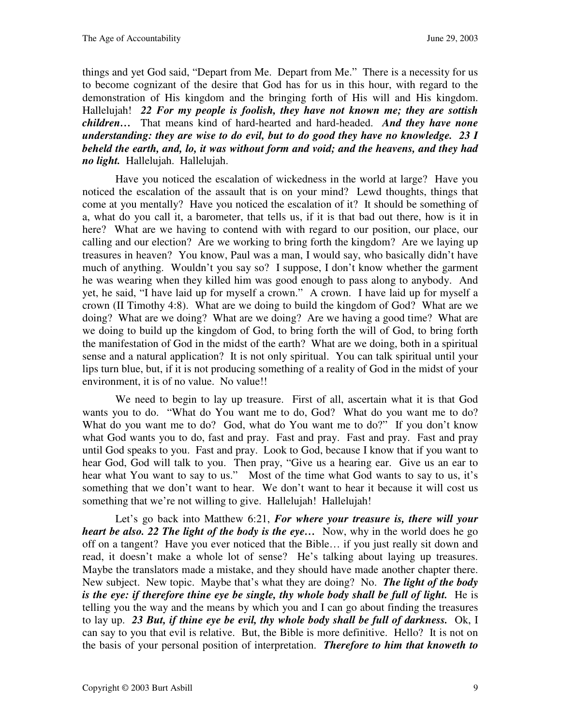things and yet God said, "Depart from Me. Depart from Me." There is a necessity for us to become cognizant of the desire that God has for us in this hour, with regard to the demonstration of His kingdom and the bringing forth of His will and His kingdom. Hallelujah! *22 For my people is foolish, they have not known me; they are sottish children…*That means kind of hard-hearted and hard-headed. *And they have none understanding: they are wise to do evil, but to do good they have no knowledge. 23 I beheld the earth, and, lo, it was without form and void; and the heavens, and they had no light.*Hallelujah. Hallelujah.

Have you noticed the escalation of wickedness in the world at large? Have you noticed the escalation of the assault that is on your mind? Lewd thoughts, things that come at you mentally? Have you noticed the escalation of it? It should be something of a, what do you call it, a barometer, that tells us, if it is that bad out there, how is it in here? What are we having to contend with with regard to our position, our place, our calling and our election? Are we working to bring forth the kingdom? Are we laying up treasures in heaven? You know, Paul was a man, I would say, who basically didn't have much of anything. Wouldn't you say so? I suppose, I don't know whether the garment he was wearing when they killed him was good enough to pass along to anybody. And yet, he said, "I have laid up for myself a crown." A crown. I have laid up for myself a crown (II Timothy 4:8). What are we doing to build the kingdom of God? What are we doing? What are we doing? What are we doing? Are we having a good time? What are we doing to build up the kingdom of God, to bring forth the will of God, to bring forth the manifestation of God in the midst of the earth? What are we doing, both in a spiritual sense and a natural application? It is not only spiritual. You can talk spiritual until your lips turn blue, but, if it is not producing something of a reality of God in the midst of your environment, it is of no value. No value!!

We need to begin to lay up treasure. First of all, ascertain what it is that God wants you to do. "What do You want me to do, God? What do you want me to do? What do you want me to do? God, what do You want me to do?" If you don't know what God wants you to do, fast and pray. Fast and pray. Fast and pray. Fast and pray until God speaks to you. Fast and pray. Look to God, because I know that if you want to hear God, God will talk to you. Then pray, "Give us a hearing ear. Give us an ear to hear what You want to say to us." Most of the time what God wants to say to us, it's something that we don't want to hear. We don't want to hear it because it will cost us something that we're not willing to give. Hallelujah! Hallelujah!

Let's go back into Matthew 6:21, *For where your treasure is, there will your heart be also. 22 The light of the body is the eye...* Now, why in the world does he go off on a tangent? Have you ever noticed that the Bible… if you just really sit down and read, it doesn't make a whole lot of sense? He's talking about laying up treasures. Maybe the translators made a mistake, and they should have made another chapter there. New subject. New topic. Maybe that's what they are doing? No. *The light of the body is the eye: if therefore thine eye be single, thy whole body shall be full of light.*He is telling you the way and the means by which you and I can go about finding the treasures to lay up. *23 But, if thine eye be evil, thy whole body shall be full of darkness.*Ok, I can say to you that evil is relative. But, the Bible is more definitive. Hello? It is not on the basis of your personal position of interpretation. *Therefore to him that knoweth to*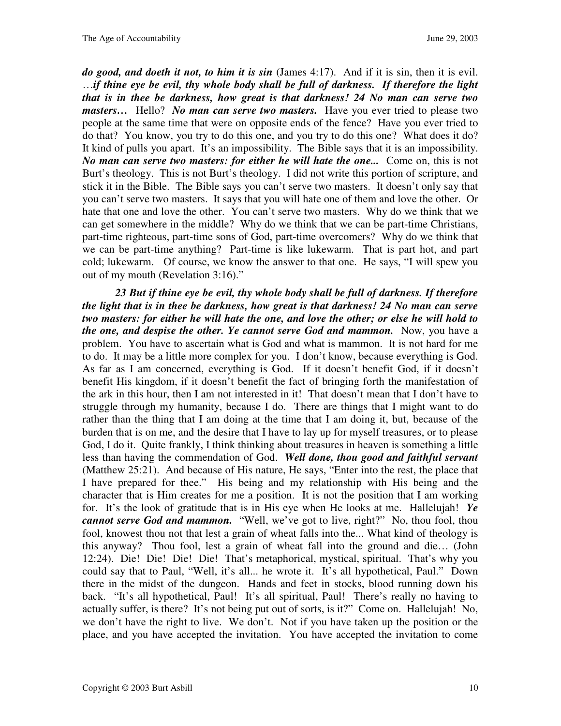*do good, and doeth it not, to him it is sin* (James 4:17). And if it is sin, then it is evil. …*if thine eye be evil, thy whole body shall be full of darkness. If therefore the light that is in thee be darkness, how great is that darkness! 24 No man can serve two masters...* Hello? *No man can serve two masters.* Have you ever tried to please two people at the same time that were on opposite ends of the fence? Have you ever tried to do that? You know, you try to do this one, and you try to do this one? What does it do? It kind of pulls you apart. It's an impossibility. The Bible says that it is an impossibility. *No man can serve two masters: for either he will hate the one...*Come on, this is not Burt's theology. This is not Burt's theology. I did not write this portion of scripture, and stick it in the Bible. The Bible says you can't serve two masters. It doesn't only say that you can't serve two masters. It says that you will hate one of them and love the other. Or hate that one and love the other. You can't serve two masters. Why do we think that we can get somewhere in the middle? Why do we think that we can be part-time Christians, part-time righteous, part-time sons of God, part-time overcomers? Why do we think that we can be part-time anything? Part-time is like lukewarm. That is part hot, and part cold; lukewarm. Of course, we know the answer to that one. He says, "I will spew you out of my mouth (Revelation 3:16)."

*23 But if thine eye be evil, thy whole body shall be full of darkness. If therefore the light that is in thee be darkness, how great is that darkness! 24 No man can serve two masters: for either he will hate the one, and love the other; or else he will hold to the one, and despise the other. Ye cannot serve God and mammon.* Now, you have a problem. You have to ascertain what is God and what is mammon. It is not hard for me to do. It may be a little more complex for you. I don't know, because everything is God. As far as I am concerned, everything is God. If it doesn't benefit God, if it doesn't benefit His kingdom, if it doesn't benefit the fact of bringing forth the manifestation of the ark in this hour, then I am not interested in it! That doesn't mean that I don't have to struggle through my humanity, because I do. There are things that I might want to do rather than the thing that I am doing at the time that I am doing it, but, because of the burden that is on me, and the desire that I have to lay up for myself treasures, or to please God, I do it. Quite frankly, I think thinking about treasures in heaven is something a little less than having the commendation of God. *Well done, thou good and faithful servant* (Matthew 25:21). And because of His nature, He says, "Enter into the rest, the place that I have prepared for thee." His being and my relationship with His being and the character that is Him creates for me a position. It is not the position that I am working for. It's the look of gratitude that is in His eye when He looks at me. Hallelujah! *Ye cannot serve God and mammon.* "Well, we've got to live, right?" No, thou fool, thou fool, knowest thou not that lest a grain of wheat falls into the... What kind of theology is this anyway? Thou fool, lest a grain of wheat fall into the ground and die… (John 12:24). Die! Die! Die! Die! That's metaphorical, mystical, spiritual. That's why you could say that to Paul, "Well, it's all... he wrote it. It's all hypothetical, Paul." Down there in the midst of the dungeon. Hands and feet in stocks, blood running down his back. "It's all hypothetical, Paul! It's all spiritual, Paul! There's really no having to actually suffer, is there? It's not being put out of sorts, is it?" Come on. Hallelujah! No, we don't have the right to live. We don't. Not if you have taken up the position or the place, and you have accepted the invitation. You have accepted the invitation to come